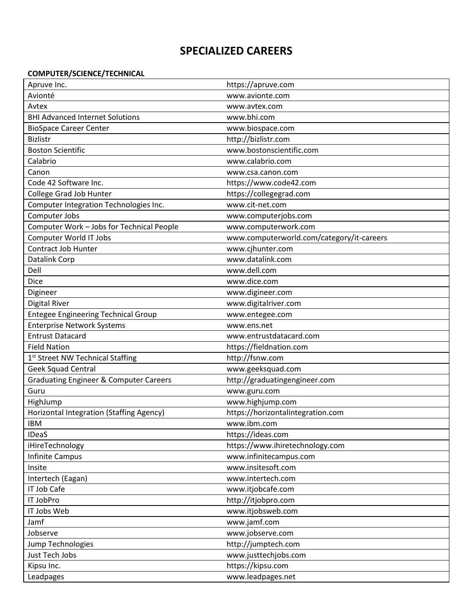# **SPECIALIZED CAREERS**

## **COMPUTER/SCIENCE/TECHNICAL**

| Apruve Inc.                                       | https://apruve.com                        |
|---------------------------------------------------|-------------------------------------------|
| Avionté                                           | www.avionte.com                           |
| Avtex                                             | www.avtex.com                             |
| <b>BHI Advanced Internet Solutions</b>            | www.bhi.com                               |
| <b>BioSpace Career Center</b>                     | www.biospace.com                          |
| <b>Bizlistr</b>                                   | http://bizlistr.com                       |
| <b>Boston Scientific</b>                          | www.bostonscientific.com                  |
| Calabrio                                          | www.calabrio.com                          |
| Canon                                             | www.csa.canon.com                         |
| Code 42 Software Inc.                             | https://www.code42.com                    |
| <b>College Grad Job Hunter</b>                    | https://collegegrad.com                   |
| Computer Integration Technologies Inc.            | www.cit-net.com                           |
| Computer Jobs                                     | www.computerjobs.com                      |
| Computer Work - Jobs for Technical People         | www.computerwork.com                      |
| <b>Computer World IT Jobs</b>                     | www.computerworld.com/category/it-careers |
| Contract Job Hunter                               | www.cjhunter.com                          |
| Datalink Corp                                     | www.datalink.com                          |
| Dell                                              | www.dell.com                              |
| Dice                                              | www.dice.com                              |
| Digineer                                          | www.digineer.com                          |
| Digital River                                     | www.digitalriver.com                      |
| <b>Entegee Engineering Technical Group</b>        | www.entegee.com                           |
| <b>Enterprise Network Systems</b>                 | www.ens.net                               |
| <b>Entrust Datacard</b>                           | www.entrustdatacard.com                   |
| <b>Field Nation</b>                               | https://fieldnation.com                   |
| 1st Street NW Technical Staffing                  | http://fsnw.com                           |
| Geek Squad Central                                | www.geeksquad.com                         |
| <b>Graduating Engineer &amp; Computer Careers</b> | http://graduatingengineer.com             |
| Guru                                              | www.guru.com                              |
| HighJump                                          | www.highjump.com                          |
| Horizontal Integration (Staffing Agency)          | https://horizontalintegration.com         |
| IBM                                               | www.ibm.com                               |
| <b>IDeaS</b>                                      | https://ideas.com                         |
| iHireTechnology                                   | https://www.ihiretechnology.com           |
| Infinite Campus                                   | www.infinitecampus.com                    |
| Insite                                            | www.insitesoft.com                        |
| Intertech (Eagan)                                 | www.intertech.com                         |
| <b>IT Job Cafe</b>                                | www.itjobcafe.com                         |
| IT JobPro                                         | http://itjobpro.com                       |
| IT Jobs Web                                       | www.itjobsweb.com                         |
| Jamf                                              | www.jamf.com                              |
| Jobserve                                          | www.jobserve.com                          |
| Jump Technologies                                 | http://jumptech.com                       |
| Just Tech Jobs                                    | www.justtechjobs.com                      |
| Kipsu Inc.                                        | https://kipsu.com                         |
| Leadpages                                         | www.leadpages.net                         |
|                                                   |                                           |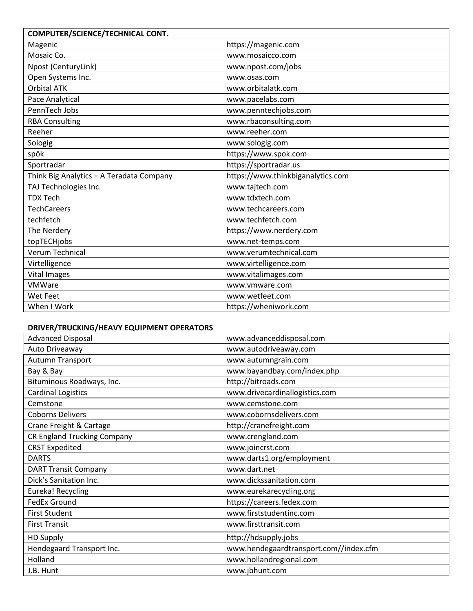| COMPUTER/SCIENCE/TECHNICAL CONT.         |                                   |
|------------------------------------------|-----------------------------------|
| Magenic                                  | https://magenic.com               |
| Mosaic Co.                               | www.mosaicco.com                  |
| Npost (CenturyLink)                      | www.npost.com/jobs                |
| Open Systems Inc.                        | www.osas.com                      |
| <b>Orbital ATK</b>                       | www.orbitalatk.com                |
| Pace Analytical                          | www.pacelabs.com                  |
| PennTech Jobs                            | www.penntechjobs.com              |
| <b>RBA Consulting</b>                    | www.rbaconsulting.com             |
| Reeher                                   | www.reeher.com                    |
| Sologig                                  | www.sologig.com                   |
| spōk                                     | https://www.spok.com              |
| Sportradar                               | https://sportradar.us             |
| Think Big Analytics - A Teradata Company | https://www.thinkbiganalytics.com |
| TAJ Technologies Inc.                    | www.tajtech.com                   |
| <b>TDX Tech</b>                          | www.tdxtech.com                   |
| <b>TechCareers</b>                       | www.techcareers.com               |
| techfetch                                | www.techfetch.com                 |
| The Nerdery                              | https://www.nerdery.com           |
| topTECHjobs                              | www.net-temps.com                 |
| Verum Technical                          | www.verumtechnical.com            |
| Virtelligence                            | www.virtelligence.com             |
| <b>Vital Images</b>                      | www.vitalimages.com               |
| <b>VMWare</b>                            | www.vmware.com                    |
| Wet Feet                                 | www.wetfeet.com                   |
| When I Work                              | https://wheniwork.com             |

### **DRIVER/TRUCKING/HEAVY EQUIPMENT OPERATORS**

| <b>Advanced Disposal</b>           | www.advanceddisposal.com               |
|------------------------------------|----------------------------------------|
| Auto Driveaway                     | www.autodriveaway.com                  |
| Autumn Transport                   | www.autumngrain.com                    |
| Bay & Bay                          | www.bayandbay.com/index.php            |
| Bituminous Roadways, Inc.          | http://bitroads.com                    |
| <b>Cardinal Logistics</b>          | www.drivecardinallogistics.com         |
| Cemstone                           | www.cemstone.com                       |
| <b>Coborns Delivers</b>            | www.cobornsdelivers.com                |
| Crane Freight & Cartage            | http://cranefreight.com                |
| <b>CR England Trucking Company</b> | www.crengland.com                      |
| <b>CRST Expedited</b>              | www.joincrst.com                       |
| <b>DARTS</b>                       | www.darts1.org/employment              |
| <b>DART Transit Company</b>        | www.dart.net                           |
| Dick's Sanitation Inc.             | www.dickssanitation.com                |
| <b>Eureka! Recycling</b>           | www.eurekarecycling.org                |
| <b>FedEx Ground</b>                | https://careers.fedex.com              |
| <b>First Student</b>               | www.firststudentinc.com                |
| <b>First Transit</b>               | www.firsttransit.com                   |
| <b>HD Supply</b>                   | http://hdsupply.jobs                   |
| Hendegaard Transport Inc.          | www.hendegaardtransport.com//index.cfm |
| Holland                            | www.hollandregional.com                |
| J.B. Hunt                          | www.jbhunt.com                         |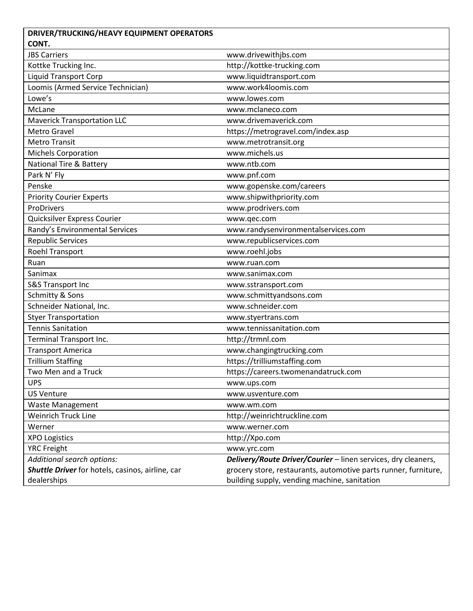| DRIVER/TRUCKING/HEAVY EQUIPMENT OPERATORS        |                                                                 |
|--------------------------------------------------|-----------------------------------------------------------------|
| CONT.                                            |                                                                 |
| <b>JBS Carriers</b>                              | www.drivewithjbs.com                                            |
| Kottke Trucking Inc.                             | http://kottke-trucking.com                                      |
| <b>Liquid Transport Corp</b>                     | www.liquidtransport.com                                         |
| Loomis (Armed Service Technician)                | www.work4loomis.com                                             |
| Lowe's                                           | www.lowes.com                                                   |
| McLane                                           | www.mclaneco.com                                                |
| <b>Maverick Transportation LLC</b>               | www.drivemaverick.com                                           |
| Metro Gravel                                     | https://metrogravel.com/index.asp                               |
| <b>Metro Transit</b>                             | www.metrotransit.org                                            |
| <b>Michels Corporation</b>                       | www.michels.us                                                  |
| <b>National Tire &amp; Battery</b>               | www.ntb.com                                                     |
| Park N' Fly                                      | www.pnf.com                                                     |
| Penske                                           | www.gopenske.com/careers                                        |
| <b>Priority Courier Experts</b>                  | www.shipwithpriority.com                                        |
| ProDrivers                                       | www.prodrivers.com                                              |
| Quicksilver Express Courier                      | www.qec.com                                                     |
| Randy's Environmental Services                   | www.randysenvironmentalservices.com                             |
| <b>Republic Services</b>                         | www.republicservices.com                                        |
| Roehl Transport                                  | www.roehl.jobs                                                  |
| Ruan                                             | www.ruan.com                                                    |
| Sanimax                                          | www.sanimax.com                                                 |
| S&S Transport Inc                                | www.sstransport.com                                             |
| Schmitty & Sons                                  | www.schmittyandsons.com                                         |
| Schneider National, Inc.                         | www.schneider.com                                               |
| <b>Styer Transportation</b>                      | www.styertrans.com                                              |
| <b>Tennis Sanitation</b>                         | www.tennissanitation.com                                        |
| Terminal Transport Inc.                          | http://trmnl.com                                                |
| <b>Transport America</b>                         | www.changingtrucking.com                                        |
| <b>Trillium Staffing</b>                         | https://trilliumstaffing.com                                    |
| Two Men and a Truck                              | https://careers.twomenandatruck.com                             |
| <b>UPS</b>                                       | www.ups.com                                                     |
| <b>US Venture</b>                                | www.usventure.com                                               |
| <b>Waste Management</b>                          | www.wm.com                                                      |
| <b>Weinrich Truck Line</b>                       | http://weinrichtruckline.com                                    |
| Werner                                           | www.werner.com                                                  |
| <b>XPO Logistics</b>                             | http://Xpo.com                                                  |
| <b>YRC Freight</b>                               | www.yrc.com                                                     |
| Additional search options:                       | Delivery/Route Driver/Courier - linen services, dry cleaners,   |
| Shuttle Driver for hotels, casinos, airline, car | grocery store, restaurants, automotive parts runner, furniture, |
| dealerships                                      | building supply, vending machine, sanitation                    |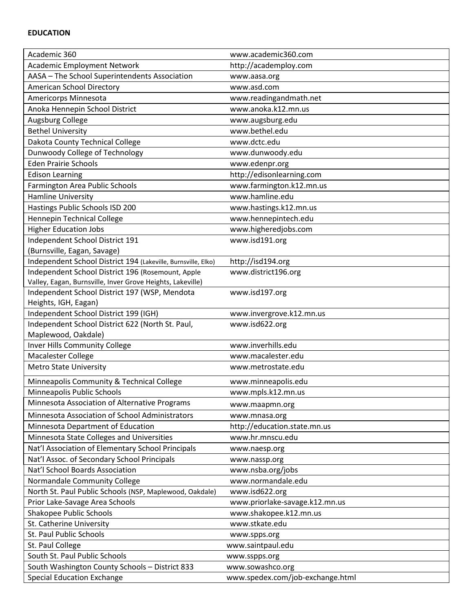| Academic 360                                                  | www.academic360.com              |
|---------------------------------------------------------------|----------------------------------|
| <b>Academic Employment Network</b>                            | http://academploy.com            |
| AASA - The School Superintendents Association                 | www.aasa.org                     |
| American School Directory                                     | www.asd.com                      |
| Americorps Minnesota                                          | www.readingandmath.net           |
| Anoka Hennepin School District                                | www.anoka.k12.mn.us              |
| Augsburg College                                              | www.augsburg.edu                 |
| <b>Bethel University</b>                                      | www.bethel.edu                   |
| Dakota County Technical College                               | www.dctc.edu                     |
| Dunwoody College of Technology                                | www.dunwoody.edu                 |
| <b>Eden Prairie Schools</b>                                   | www.edenpr.org                   |
| <b>Edison Learning</b>                                        | http://edisonlearning.com        |
| Farmington Area Public Schools                                | www.farmington.k12.mn.us         |
| <b>Hamline University</b>                                     | www.hamline.edu                  |
| Hastings Public Schools ISD 200                               | www.hastings.k12.mn.us           |
| Hennepin Technical College                                    | www.hennepintech.edu             |
| <b>Higher Education Jobs</b>                                  | www.higheredjobs.com             |
| Independent School District 191                               | www.isd191.org                   |
| (Burnsville, Eagan, Savage)                                   |                                  |
| Independent School District 194 (Lakeville, Burnsville, Elko) | http://isd194.org                |
| Independent School District 196 (Rosemount, Apple             | www.district196.org              |
| Valley, Eagan, Burnsville, Inver Grove Heights, Lakeville)    |                                  |
| Independent School District 197 (WSP, Mendota                 | www.isd197.org                   |
| Heights, IGH, Eagan)                                          |                                  |
| Independent School District 199 (IGH)                         | www.invergrove.k12.mn.us         |
| Independent School District 622 (North St. Paul,              | www.isd622.org                   |
| Maplewood, Oakdale)                                           |                                  |
| Inver Hills Community College                                 | www.inverhills.edu               |
| Macalester College                                            | www.macalester.edu               |
| <b>Metro State University</b>                                 | www.metrostate.edu               |
| Minneapolis Community & Technical College                     | www.minneapolis.edu              |
| Minneapolis Public Schools                                    | www.mpls.k12.mn.us               |
| Minnesota Association of Alternative Programs                 | www.maapmn.org                   |
| Minnesota Association of School Administrators                | www.mnasa.org                    |
| Minnesota Department of Education                             | http://education.state.mn.us     |
| Minnesota State Colleges and Universities                     | www.hr.mnscu.edu                 |
| Nat'l Association of Elementary School Principals             | www.naesp.org                    |
| Nat'l Assoc. of Secondary School Principals                   | www.nassp.org                    |
| Nat'l School Boards Association                               | www.nsba.org/jobs                |
| Normandale Community College                                  | www.normandale.edu               |
| North St. Paul Public Schools (NSP, Maplewood, Oakdale)       | www.isd622.org                   |
| Prior Lake-Savage Area Schools                                | www.priorlake-savage.k12.mn.us   |
| Shakopee Public Schools                                       | www.shakopee.k12.mn.us           |
| St. Catherine University                                      | www.stkate.edu                   |
| St. Paul Public Schools                                       | www.spps.org                     |
| St. Paul College                                              | www.saintpaul.edu                |
| South St. Paul Public Schools                                 | www.sspps.org                    |
| South Washington County Schools - District 833                | www.sowashco.org                 |
| <b>Special Education Exchange</b>                             | www.spedex.com/job-exchange.html |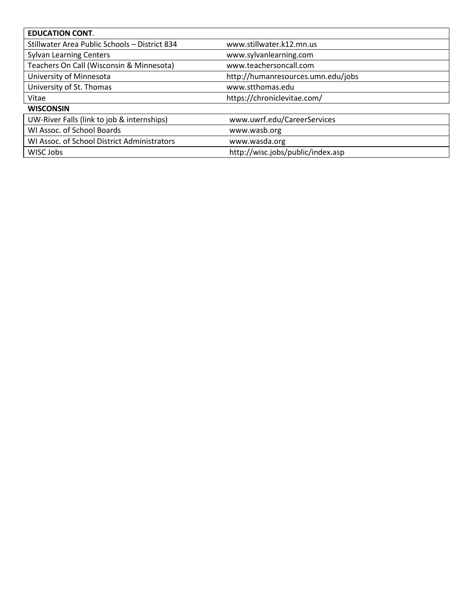| <b>EDUCATION CONT.</b>                        |                                    |
|-----------------------------------------------|------------------------------------|
| Stillwater Area Public Schools - District 834 | www.stillwater.k12.mn.us           |
| <b>Sylvan Learning Centers</b>                | www.sylvanlearning.com             |
| Teachers On Call (Wisconsin & Minnesota)      | www.teachersoncall.com             |
| University of Minnesota                       | http://humanresources.umn.edu/jobs |
| University of St. Thomas                      | www.stthomas.edu                   |
| Vitae                                         | https://chroniclevitae.com/        |
| <b>WISCONSIN</b>                              |                                    |
| UW-River Falls (link to job & internships)    | www.uwrf.edu/CareerServices        |
| WI Assoc. of School Boards                    | www.wasb.org                       |
| WI Assoc. of School District Administrators   | www.wasda.org                      |
| WISC Jobs                                     | http://wisc.jobs/public/index.asp  |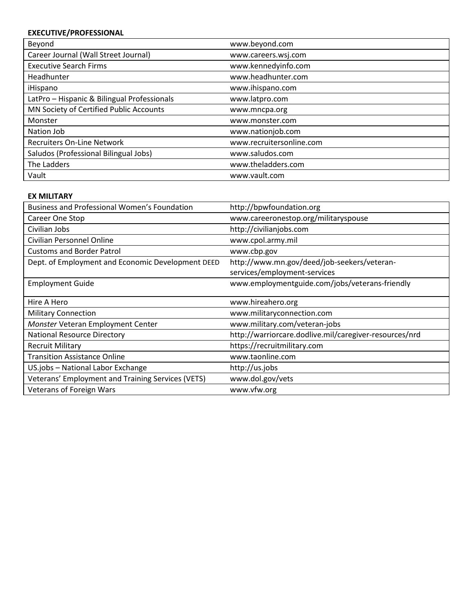## **EXECUTIVE/PROFESSIONAL**

| Beyond                                      | www.beyond.com           |
|---------------------------------------------|--------------------------|
| Career Journal (Wall Street Journal)        | www.careers.wsj.com      |
| <b>Executive Search Firms</b>               | www.kennedyinfo.com      |
| Headhunter                                  | www.headhunter.com       |
| iHispano                                    | www.ihispano.com         |
| LatPro - Hispanic & Bilingual Professionals | www.latpro.com           |
| MN Society of Certified Public Accounts     | www.mncpa.org            |
| Monster                                     | www.monster.com          |
| Nation Job                                  | www.nationjob.com        |
| <b>Recruiters On-Line Network</b>           | www.recruitersonline.com |
| Saludos (Professional Bilingual Jobs)       | www.saludos.com          |
| The Ladders                                 | www.theladders.com       |
| Vault                                       | www.vault.com            |

#### **EX MILITARY**

| <b>Business and Professional Women's Foundation</b> | http://bpwfoundation.org                               |
|-----------------------------------------------------|--------------------------------------------------------|
| Career One Stop                                     | www.careeronestop.org/militaryspouse                   |
| Civilian Jobs                                       | http://civilianjobs.com                                |
| Civilian Personnel Online                           | www.cpol.army.mil                                      |
| <b>Customs and Border Patrol</b>                    | www.cbp.gov                                            |
| Dept. of Employment and Economic Development DEED   | http://www.mn.gov/deed/job-seekers/veteran-            |
|                                                     | services/employment-services                           |
| <b>Employment Guide</b>                             | www.employmentguide.com/jobs/veterans-friendly         |
|                                                     |                                                        |
| Hire A Hero                                         | www.hireahero.org                                      |
| <b>Military Connection</b>                          | www.militaryconnection.com                             |
| Monster Veteran Employment Center                   | www.military.com/veteran-jobs                          |
| <b>National Resource Directory</b>                  | http://warriorcare.dodlive.mil/caregiver-resources/nrd |
| <b>Recruit Military</b>                             | https://recruitmilitary.com                            |
| <b>Transition Assistance Online</b>                 | www.taonline.com                                       |
| US.jobs - National Labor Exchange                   | http://us.jobs                                         |
| Veterans' Employment and Training Services (VETS)   | www.dol.gov/vets                                       |
| Veterans of Foreign Wars                            | www.vfw.org                                            |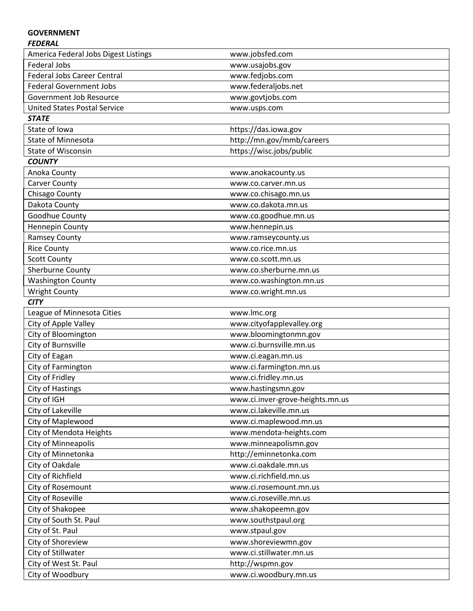## **GOVERNMENT**

#### *FEDERAL*

| America Federal Jobs Digest Listings | www.jobsfed.com                  |
|--------------------------------------|----------------------------------|
| <b>Federal Jobs</b>                  | www.usajobs.gov                  |
| <b>Federal Jobs Career Central</b>   | www.fedjobs.com                  |
| <b>Federal Government Jobs</b>       | www.federaljobs.net              |
| Government Job Resource              | www.govtjobs.com                 |
| <b>United States Postal Service</b>  | www.usps.com                     |
| <b>STATE</b>                         |                                  |
| State of Iowa                        | https://das.iowa.gov             |
| <b>State of Minnesota</b>            | http://mn.gov/mmb/careers        |
| <b>State of Wisconsin</b>            | https://wisc.jobs/public         |
| <b>COUNTY</b>                        |                                  |
| Anoka County                         | www.anokacounty.us               |
| <b>Carver County</b>                 | www.co.carver.mn.us              |
| Chisago County                       | www.co.chisago.mn.us             |
| Dakota County                        | www.co.dakota.mn.us              |
| Goodhue County                       | www.co.goodhue.mn.us             |
| Hennepin County                      | www.hennepin.us                  |
| <b>Ramsey County</b>                 | www.ramseycounty.us              |
| <b>Rice County</b>                   | www.co.rice.mn.us                |
| <b>Scott County</b>                  | www.co.scott.mn.us               |
| Sherburne County                     | www.co.sherburne.mn.us           |
| <b>Washington County</b>             | www.co.washington.mn.us          |
| <b>Wright County</b>                 | www.co.wright.mn.us              |
| <b>CITY</b>                          |                                  |
| League of Minnesota Cities           | www.lmc.org                      |
| City of Apple Valley                 | www.cityofapplevalley.org        |
| City of Bloomington                  | www.bloomingtonmn.gov            |
| City of Burnsville                   | www.ci.burnsville.mn.us          |
| City of Eagan                        | www.ci.eagan.mn.us               |
| City of Farmington                   | www.ci.farmington.mn.us          |
| City of Fridley                      | www.ci.fridley.mn.us             |
| <b>City of Hastings</b>              | www.hastingsmn.gov               |
| City of IGH                          | www.ci.inver-grove-heights.mn.us |
| City of Lakeville                    | www.ci.lakeville.mn.us           |
| City of Maplewood                    | www.ci.maplewood.mn.us           |
| City of Mendota Heights              | www.mendota-heights.com          |
| City of Minneapolis                  | www.minneapolismn.gov            |
| City of Minnetonka                   | http://eminnetonka.com           |
| City of Oakdale                      | www.ci.oakdale.mn.us             |
| City of Richfield                    | www.ci.richfield.mn.us           |
| City of Rosemount                    | www.ci.rosemount.mn.us           |
| City of Roseville                    | www.ci.roseville.mn.us           |
| City of Shakopee                     | www.shakopeemn.gov               |
| City of South St. Paul               | www.southstpaul.org              |
| City of St. Paul                     | www.stpaul.gov                   |
| City of Shoreview                    | www.shoreviewmn.gov              |
| City of Stillwater                   | www.ci.stillwater.mn.us          |
| City of West St. Paul                | http://wspmn.gov                 |
| City of Woodbury                     | www.ci.woodbury.mn.us            |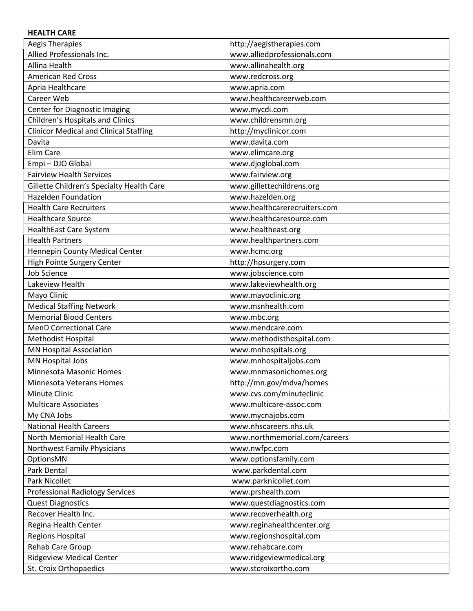#### **HEALTH CARE**

| <b>Aegis Therapies</b>                        | http://aegistherapies.com     |
|-----------------------------------------------|-------------------------------|
| Allied Professionals Inc.                     | www.alliedprofessionals.com   |
| Allina Health                                 | www.allinahealth.org          |
| <b>American Red Cross</b>                     | www.redcross.org              |
| Apria Healthcare                              | www.apria.com                 |
| Career Web                                    | www.healthcareerweb.com       |
| Center for Diagnostic Imaging                 | www.mycdi.com                 |
| Children's Hospitals and Clinics              | www.childrensmn.org           |
| <b>Clinicor Medical and Clinical Staffing</b> | http://myclinicor.com         |
| Davita                                        | www.davita.com                |
| Elim Care                                     | www.elimcare.org              |
| Empi - DJO Global                             | www.djoglobal.com             |
| <b>Fairview Health Services</b>               | www.fairview.org              |
| Gillette Children's Specialty Health Care     | www.gillettechildrens.org     |
| <b>Hazelden Foundation</b>                    | www.hazelden.org              |
| <b>Health Care Recruiters</b>                 | www.healthcarerecruiters.com  |
| <b>Healthcare Source</b>                      | www.healthcaresource.com      |
| <b>HealthEast Care System</b>                 | www.healtheast.org            |
| <b>Health Partners</b>                        | www.healthpartners.com        |
| Hennepin County Medical Center                | www.hcmc.org                  |
| <b>High Pointe Surgery Center</b>             | http://hpsurgery.com          |
| <b>Job Science</b>                            | www.jobscience.com            |
| Lakeview Health                               | www.lakeviewhealth.org        |
| Mayo Clinic                                   | www.mayoclinic.org            |
| <b>Medical Staffing Network</b>               | www.msnhealth.com             |
| <b>Memorial Blood Centers</b>                 | www.mbc.org                   |
| <b>MenD Correctional Care</b>                 | www.mendcare.com              |
| Methodist Hospital                            | www.methodisthospital.com     |
| <b>MN Hospital Association</b>                | www.mnhospitals.org           |
| MN Hospital Jobs                              | www.mnhospitaljobs.com        |
| Minnesota Masonic Homes                       | www.mnmasonichomes.org        |
| <b>Minnesota Veterans Homes</b>               | http://mn.gov/mdva/homes      |
| Minute Clinic                                 | www.cvs.com/minuteclinic      |
| <b>Multicare Associates</b>                   | www.multicare-assoc.com       |
| My CNA Jobs                                   | www.mycnajobs.com             |
| <b>National Health Careers</b>                | www.nhscareers.nhs.uk         |
| North Memorial Health Care                    | www.northmemorial.com/careers |
| Northwest Family Physicians                   | www.nwfpc.com                 |
| OptionsMN                                     | www.optionsfamily.com         |
| Park Dental                                   | www.parkdental.com            |
| Park Nicollet                                 | www.parknicollet.com          |
| <b>Professional Radiology Services</b>        | www.prshealth.com             |
| <b>Quest Diagnostics</b>                      | www.questdiagnostics.com      |
| Recover Health Inc.                           | www.recoverhealth.org         |
| Regina Health Center                          | www.reginahealthcenter.org    |
| <b>Regions Hospital</b>                       | www.regionshospital.com       |
| <b>Rehab Care Group</b>                       | www.rehabcare.com             |
| <b>Ridgeview Medical Center</b>               | www.ridgeviewmedical.org      |
| St. Croix Orthopaedics                        | www.stcroixortho.com          |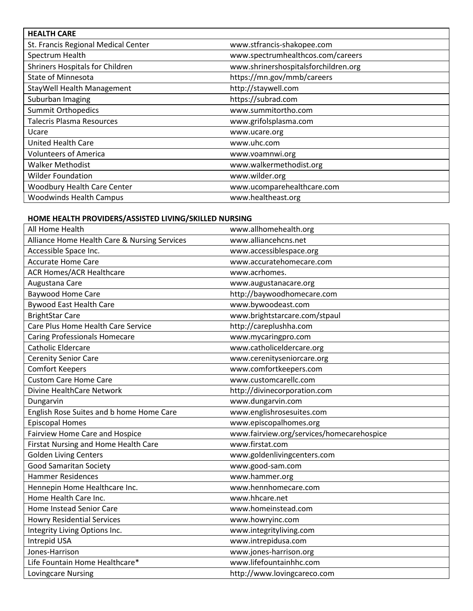| <b>HEALTH CARE</b>                     |                                      |
|----------------------------------------|--------------------------------------|
| St. Francis Regional Medical Center    | www.stfrancis-shakopee.com           |
| Spectrum Health                        | www.spectrumhealthcos.com/careers    |
| <b>Shriners Hospitals for Children</b> | www.shrinershospitalsforchildren.org |
| <b>State of Minnesota</b>              | https://mn.gov/mmb/careers           |
| StayWell Health Management             | http://staywell.com                  |
| Suburban Imaging                       | https://subrad.com                   |
| <b>Summit Orthopedics</b>              | www.summitortho.com                  |
| Talecris Plasma Resources              | www.grifolsplasma.com                |
| Ucare                                  | www.ucare.org                        |
| <b>United Health Care</b>              | www.uhc.com                          |
| <b>Volunteers of America</b>           | www.voamnwi.org                      |
| <b>Walker Methodist</b>                | www.walkermethodist.org              |
| <b>Wilder Foundation</b>               | www.wilder.org                       |
| <b>Woodbury Health Care Center</b>     | www.ucomparehealthcare.com           |
| <b>Woodwinds Health Campus</b>         | www.healtheast.org                   |

#### **HOME HEALTH PROVIDERS/ASSISTED LIVING/SKILLED NURSING**

| All Home Health                              | www.allhomehealth.org                     |
|----------------------------------------------|-------------------------------------------|
| Alliance Home Health Care & Nursing Services | www.alliancehcns.net                      |
| Accessible Space Inc.                        | www.accessiblespace.org                   |
| <b>Accurate Home Care</b>                    | www.accuratehomecare.com                  |
| <b>ACR Homes/ACR Healthcare</b>              | www.acrhomes.                             |
| Augustana Care                               | www.augustanacare.org                     |
| <b>Baywood Home Care</b>                     | http://baywoodhomecare.com                |
| <b>Bywood East Health Care</b>               | www.bywoodeast.com                        |
| <b>BrightStar Care</b>                       | www.brightstarcare.com/stpaul             |
| Care Plus Home Health Care Service           | http://careplushha.com                    |
| <b>Caring Professionals Homecare</b>         | www.mycaringpro.com                       |
| <b>Catholic Eldercare</b>                    | www.catholiceldercare.org                 |
| <b>Cerenity Senior Care</b>                  | www.cerenityseniorcare.org                |
| <b>Comfort Keepers</b>                       | www.comfortkeepers.com                    |
| <b>Custom Care Home Care</b>                 | www.customcarellc.com                     |
| Divine HealthCare Network                    | http://divinecorporation.com              |
| Dungarvin                                    | www.dungarvin.com                         |
| English Rose Suites and b home Home Care     | www.englishrosesuites.com                 |
| <b>Episcopal Homes</b>                       | www.episcopalhomes.org                    |
| Fairview Home Care and Hospice               | www.fairview.org/services/homecarehospice |
| Firstat Nursing and Home Health Care         | www.firstat.com                           |
| <b>Golden Living Centers</b>                 | www.goldenlivingcenters.com               |
| <b>Good Samaritan Society</b>                | www.good-sam.com                          |
| <b>Hammer Residences</b>                     | www.hammer.org                            |
| Hennepin Home Healthcare Inc.                | www.hennhomecare.com                      |
| Home Health Care Inc.                        | www.hhcare.net                            |
| Home Instead Senior Care                     | www.homeinstead.com                       |
| <b>Howry Residential Services</b>            | www.howryinc.com                          |
| Integrity Living Options Inc.                | www.integrityliving.com                   |
| Intrepid USA                                 | www.intrepidusa.com                       |
| Jones-Harrison                               | www.jones-harrison.org                    |
| Life Fountain Home Healthcare*               | www.lifefountainhhc.com                   |
| Lovingcare Nursing                           | http://www.lovingcareco.com               |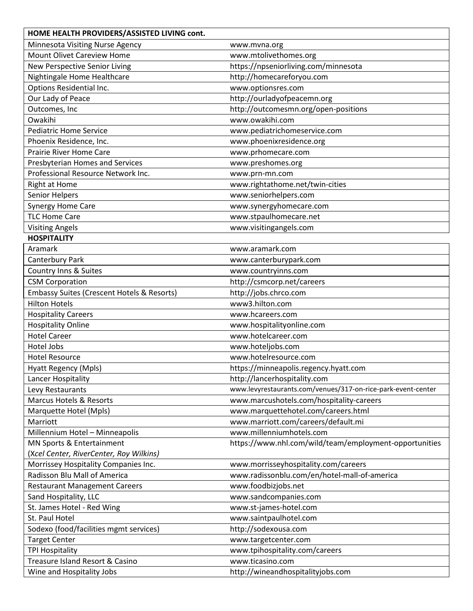| HOME HEALTH PROVIDERS/ASSISTED LIVING cont. |                                                              |
|---------------------------------------------|--------------------------------------------------------------|
| Minnesota Visiting Nurse Agency             | www.mvna.org                                                 |
| <b>Mount Olivet Careview Home</b>           | www.mtolivethomes.org                                        |
| New Perspective Senior Living               | https://npseniorliving.com/minnesota                         |
| Nightingale Home Healthcare                 | http://homecareforyou.com                                    |
| Options Residential Inc.                    | www.optionsres.com                                           |
| Our Lady of Peace                           | http://ourladyofpeacemn.org                                  |
| Outcomes, Inc                               | http://outcomesmn.org/open-positions                         |
| Owakihi                                     | www.owakihi.com                                              |
| <b>Pediatric Home Service</b>               | www.pediatrichomeservice.com                                 |
| Phoenix Residence, Inc.                     | www.phoenixresidence.org                                     |
| <b>Prairie River Home Care</b>              | www.prhomecare.com                                           |
| Presbyterian Homes and Services             | www.preshomes.org                                            |
| Professional Resource Network Inc.          | www.prn-mn.com                                               |
| <b>Right at Home</b>                        | www.rightathome.net/twin-cities                              |
| Senior Helpers                              | www.seniorhelpers.com                                        |
| <b>Synergy Home Care</b>                    | www.synergyhomecare.com                                      |
| <b>TLC Home Care</b>                        | www.stpaulhomecare.net                                       |
| <b>Visiting Angels</b>                      | www.visitingangels.com                                       |
| <b>HOSPITALITY</b>                          |                                                              |
| Aramark                                     | www.aramark.com                                              |
| Canterbury Park                             | www.canterburypark.com                                       |
| Country Inns & Suites                       | www.countryinns.com                                          |
| <b>CSM Corporation</b>                      | http://csmcorp.net/careers                                   |
| Embassy Suites (Crescent Hotels & Resorts)  | http://jobs.chrco.com                                        |
| <b>Hilton Hotels</b>                        | www3.hilton.com                                              |
| <b>Hospitality Careers</b>                  | www.hcareers.com                                             |
| <b>Hospitality Online</b>                   | www.hospitalityonline.com                                    |
| <b>Hotel Career</b>                         | www.hotelcareer.com                                          |
| Hotel Jobs                                  | www.hoteljobs.com                                            |
| <b>Hotel Resource</b>                       | www.hotelresource.com                                        |
| Hyatt Regency (Mpls)                        | https://minneapolis.regency.hyatt.com                        |
| Lancer Hospitality                          | http://lancerhospitality.com                                 |
| Levy Restaurants                            | www.levyrestaurants.com/venues/317-on-rice-park-event-center |
| <b>Marcus Hotels &amp; Resorts</b>          | www.marcushotels.com/hospitality-careers                     |
| Marquette Hotel (Mpls)                      | www.marquettehotel.com/careers.html                          |
| Marriott                                    | www.marriott.com/careers/default.mi                          |
| Millennium Hotel - Minneapolis              | www.millenniumhotels.com                                     |
| MN Sports & Entertainment                   | https://www.nhl.com/wild/team/employment-opportunities       |
| (Xcel Center, RiverCenter, Roy Wilkins)     |                                                              |
| Morrissey Hospitality Companies Inc.        | www.morrisseyhospitality.com/careers                         |
| Radisson Blu Mall of America                | www.radissonblu.com/en/hotel-mall-of-america                 |
| <b>Restaurant Management Careers</b>        | www.foodbizjobs.net                                          |
| Sand Hospitality, LLC                       | www.sandcompanies.com                                        |
| St. James Hotel - Red Wing                  | www.st-james-hotel.com                                       |
| St. Paul Hotel                              | www.saintpaulhotel.com                                       |
| Sodexo (food/facilities mgmt services)      | http://sodexousa.com                                         |
| <b>Target Center</b>                        | www.targetcenter.com                                         |
| <b>TPI Hospitality</b>                      | www.tpihospitality.com/careers                               |
| Treasure Island Resort & Casino             | www.ticasino.com                                             |
| Wine and Hospitality Jobs                   | http://wineandhospitalityjobs.com                            |
|                                             |                                                              |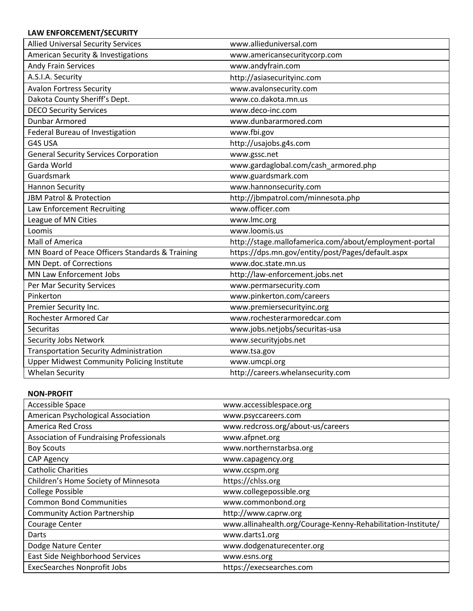## **LAW ENFORCEMENT/SECURITY**

| <b>Allied Universal Security Services</b>         | www.allieduniversal.com                                |
|---------------------------------------------------|--------------------------------------------------------|
| American Security & Investigations                | www.americansecuritycorp.com                           |
| <b>Andy Frain Services</b>                        | www.andyfrain.com                                      |
| A.S.I.A. Security                                 | http://asiasecurityinc.com                             |
| <b>Avalon Fortress Security</b>                   | www.avalonsecurity.com                                 |
| Dakota County Sheriff's Dept.                     | www.co.dakota.mn.us                                    |
| <b>DECO Security Services</b>                     | www.deco-inc.com                                       |
| <b>Dunbar Armored</b>                             | www.dunbararmored.com                                  |
| Federal Bureau of Investigation                   | www.fbi.gov                                            |
| G4S USA                                           | http://usajobs.g4s.com                                 |
| <b>General Security Services Corporation</b>      | www.gssc.net                                           |
| Garda World                                       | www.gardaglobal.com/cash_armored.php                   |
| Guardsmark                                        | www.guardsmark.com                                     |
| <b>Hannon Security</b>                            | www.hannonsecurity.com                                 |
| JBM Patrol & Protection                           | http://jbmpatrol.com/minnesota.php                     |
| Law Enforcement Recruiting                        | www.officer.com                                        |
| League of MN Cities                               | www.lmc.org                                            |
| Loomis                                            | www.loomis.us                                          |
| Mall of America                                   | http://stage.mallofamerica.com/about/employment-portal |
| MN Board of Peace Officers Standards & Training   | https://dps.mn.gov/entity/post/Pages/default.aspx      |
| MN Dept. of Corrections                           | www.doc.state.mn.us                                    |
| <b>MN Law Enforcement Jobs</b>                    | http://law-enforcement.jobs.net                        |
| Per Mar Security Services                         | www.permarsecurity.com                                 |
| Pinkerton                                         | www.pinkerton.com/careers                              |
| Premier Security Inc.                             | www.premiersecurityinc.org                             |
| Rochester Armored Car                             | www.rochesterarmoredcar.com                            |
| Securitas                                         | www.jobs.netjobs/securitas-usa                         |
| Security Jobs Network                             | www.securityjobs.net                                   |
| <b>Transportation Security Administration</b>     | www.tsa.gov                                            |
| <b>Upper Midwest Community Policing Institute</b> | www.umcpi.org                                          |
| <b>Whelan Security</b>                            | http://careers.whelansecurity.com                      |

#### **NON-PROFIT**

| Accessible Space                                | www.accessiblespace.org                                      |
|-------------------------------------------------|--------------------------------------------------------------|
| American Psychological Association              | www.psyccareers.com                                          |
| <b>America Red Cross</b>                        | www.redcross.org/about-us/careers                            |
| <b>Association of Fundraising Professionals</b> | www.afpnet.org                                               |
| <b>Boy Scouts</b>                               | www.northernstarbsa.org                                      |
| CAP Agency                                      | www.capagency.org                                            |
| <b>Catholic Charities</b>                       | www.ccspm.org                                                |
| Children's Home Society of Minnesota            | https://chlss.org                                            |
| <b>College Possible</b>                         | www.collegepossible.org                                      |
| <b>Common Bond Communities</b>                  | www.commonbond.org                                           |
| <b>Community Action Partnership</b>             | http://www.caprw.org                                         |
| Courage Center                                  | www.allinahealth.org/Courage-Kenny-Rehabilitation-Institute/ |
| Darts                                           | www.darts1.org                                               |
| Dodge Nature Center                             | www.dodgenaturecenter.org                                    |
| East Side Neighborhood Services                 | www.esns.org                                                 |
| <b>ExecSearches Nonprofit Jobs</b>              | https://execsearches.com                                     |